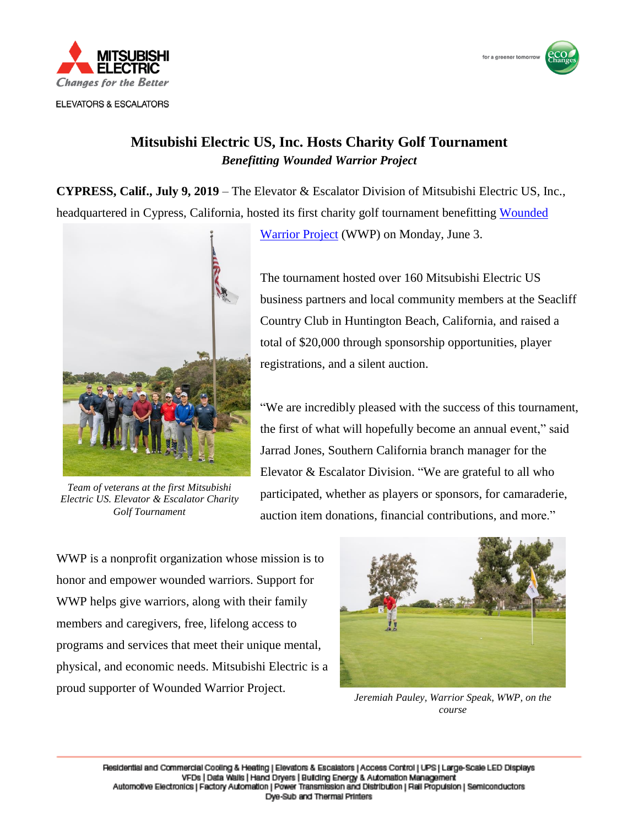

**ELEVATORS & ESCALATORS** 



## **Mitsubishi Electric US, Inc. Hosts Charity Golf Tournament** *Benefitting Wounded Warrior Project*

**CYPRESS, Calif., July 9, 2019** – The Elevator & Escalator Division of Mitsubishi Electric US, Inc., headquartered in Cypress, California, hosted its first charity golf tournament benefitting [Wounded](https://www.woundedwarriorproject.org/) 



*Team of veterans at the first Mitsubishi Electric US. Elevator & Escalator Charity Golf Tournament*

[Warrior Project](https://www.woundedwarriorproject.org/) (WWP) on Monday, June 3.

The tournament hosted over 160 Mitsubishi Electric US business partners and local community members at the Seacliff Country Club in Huntington Beach, California, and raised a total of \$20,000 through sponsorship opportunities, player registrations, and a silent auction.

"We are incredibly pleased with the success of this tournament, the first of what will hopefully become an annual event," said Jarrad Jones, Southern California branch manager for the Elevator & Escalator Division. "We are grateful to all who participated, whether as players or sponsors, for camaraderie, auction item donations, financial contributions, and more."

WWP is a nonprofit organization whose mission is to honor and empower wounded warriors. Support for WWP helps give warriors, along with their family members and caregivers, free, lifelong access to programs and services that meet their unique mental, physical, and economic needs. Mitsubishi Electric is a proud supporter of Wounded Warrior Project.



*Jeremiah Pauley, Warrior Speak, WWP, on the course*